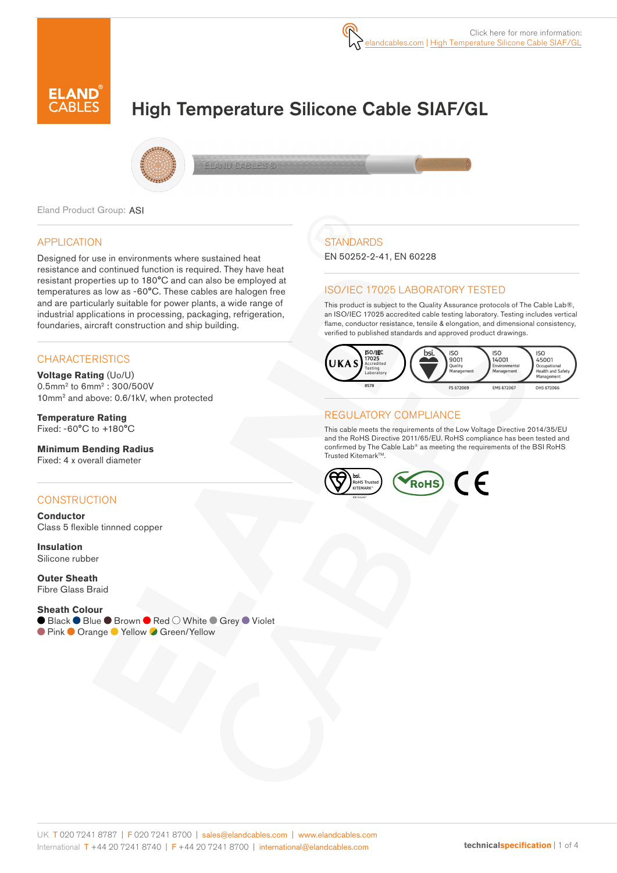

# High Temperature Silicone Cable SIAF/GL



Eland Product Group: ASI

## APPLICATION

Designed for use in environments where sustained heat resistance and continued function is required. They have heat resistant properties up to 180°C and can also be employed at temperatures as low as -60°C. These cables are halogen free and are particularly suitable for power plants, a wide range of industrial applications in processing, packaging, refrigeration, foundaries, aircraft construction and ship building.

## **CHARACTERISTICS**

**Voltage Rating** (Uo/U) 0.5mm2 to 6mm2 : 300/500V 10mm2 and above: 0.6/1kV, when protected

**Temperature Rating** Fixed: -60°C to +180°C

**Minimum Bending Radius**  Fixed: 4 x overall diameter

## **CONSTRUCTION**

**Conductor** Class 5 flexible tinnned copper

**Insulation** Silicone rubber

**Outer Sheath** Fibre Glass Braid

#### **Sheath Colour**

● Black ● Blue ● Brown ● Red ○ White ● Grey ● Violet ● Pink ● Orange ● Yellow ● Green/Yellow

# **STANDARDS**

EN 50252-2-41, EN 60228

## ISO/IEC 17025 LABORATORY TESTED

This product is subject to the Quality Assurance protocols of The Cable Lab®, an ISO/IEC 17025 accredited cable testing laboratory. Testing includes vertical flame, conductor resistance, tensile & elongation, and dimensional consistency, verified to published standards and approved product drawings.



## REGULATORY COMPLIANCE

This cable meets the requirements of the Low Voltage Directive 2014/35/EU and the RoHS Directive 2011/65/EU. RoHS compliance has been tested and confirmed by The Cable Lab® as meeting the requirements of the BSI RoHS Trusted KitemarkTM.

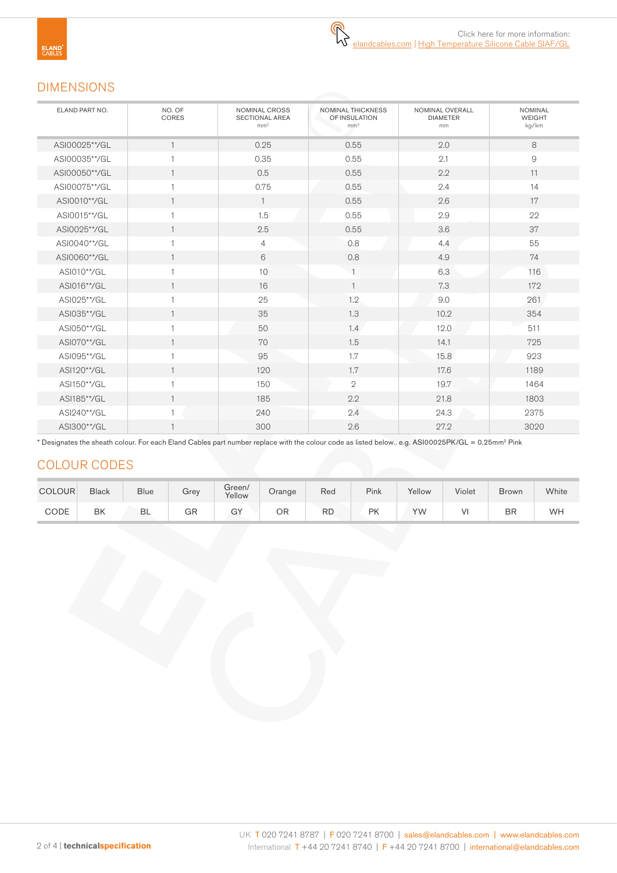# DIMENSIONS

| ELAND PART NO. | NO. OF<br>CORES | NOMINAL CROSS<br><b>SECTIONAL AREA</b><br>mm <sup>2</sup> | <b>NOMINAL THICKNESS</b><br>OF INSULATION<br>mm <sup>2</sup> | NOMINAL OVERALL<br><b>DIAMETER</b><br>mm | <b>NOMINAL</b><br><b>WEIGHT</b><br>kg/km |
|----------------|-----------------|-----------------------------------------------------------|--------------------------------------------------------------|------------------------------------------|------------------------------------------|
| ASI00025**/GL  | $\mathbf{1}$    | 0.25                                                      | 0.55                                                         | 2.0                                      | 8                                        |
| ASI00035**/GL  | $\overline{1}$  | 0.35                                                      | 0.55                                                         | 2.1                                      | 9                                        |
| ASI00050**/GL  | $\mathbf{1}$    | 0.5                                                       | 0.55                                                         | 2.2                                      | 11                                       |
| ASI00075**/GL  | $\overline{1}$  | 0.75                                                      | 0.55                                                         | 2.4                                      | 14                                       |
| ASI0010**/GL   | $\mathbf{1}$    | $\mathbf{1}$                                              | 0.55                                                         | 2.6                                      | 17                                       |
| ASI0015**/GL   | $\overline{1}$  | 1.5                                                       | 0.55                                                         | 2.9                                      | 22                                       |
| ASI0025**/GL   | $\mathbf{1}$    | 2.5                                                       | 0.55                                                         | 3.6                                      | 37                                       |
| ASI0040**/GL   | $\mathbf{1}$    | $\overline{4}$                                            | 0.8                                                          | 4.4                                      | 55                                       |
| ASI0060**/GL   | $\mathbf{1}$    | 6                                                         | 0.8                                                          | 4.9                                      | 74                                       |
| ASI010**/GL    | 1               | 10                                                        |                                                              | 6.3                                      | 116                                      |
| ASI016**/GL    | $\mathbf{1}$    | 16                                                        | $\mathbf{1}$                                                 | 7.3                                      | 172                                      |
| ASI025**/GL    | $\overline{1}$  | 25                                                        | 1.2                                                          | 9.0                                      | 261                                      |
| ASI035**/GL    | $\mathbf{1}$    | 35                                                        | 1.3                                                          | 10.2                                     | 354                                      |
| ASI050**/GL    | $\overline{1}$  | 50                                                        | 1.4                                                          | 12.0                                     | 511                                      |
| ASI070**/GL    | $\mathbf{1}$    | 70                                                        | 1.5                                                          | 14.1                                     | 725                                      |
| ASI095**/GL    | $\mathbf{1}$    | 95                                                        | 1.7                                                          | 15.8                                     | 923                                      |
| ASI120**/GL    | $\mathbf{1}$    | 120                                                       | 1.7                                                          | 17.6                                     | 1189                                     |
| ASI150**/GL    | $\mathbf{1}$    | 150                                                       | $\mathbf{2}$                                                 | 19.7                                     | 1464                                     |
| ASI185**/GL    | $\mathbf{1}$    | 185                                                       | 2.2                                                          | 21.8                                     | 1803                                     |
| ASI240**/GL    | $\overline{1}$  | 240                                                       | 2.4                                                          | 24.3                                     | 2375                                     |
| ASI300**/GL    | $\overline{1}$  | 300                                                       | 2.6                                                          | 27.2                                     | 3020                                     |

\* Designates the sheath colour. For each Eland Cables part number replace with the colour code as listed below.. e.g. ASI00025PK/GL = 0.25mm2 Pink

# COLOUR CODES

| <b>COLOUR</b> | <b>Black</b> | <b>Blue</b> | Grev | Green/<br>Yellow | Orange | Red       | Pink | Yellow | Violet | <b>Brown</b> | White |
|---------------|--------------|-------------|------|------------------|--------|-----------|------|--------|--------|--------------|-------|
| CODE          | BK           | BL          | GR   | GY               | ΟR     | <b>RD</b> | PK   | YW     | V١     | BR           | WH    |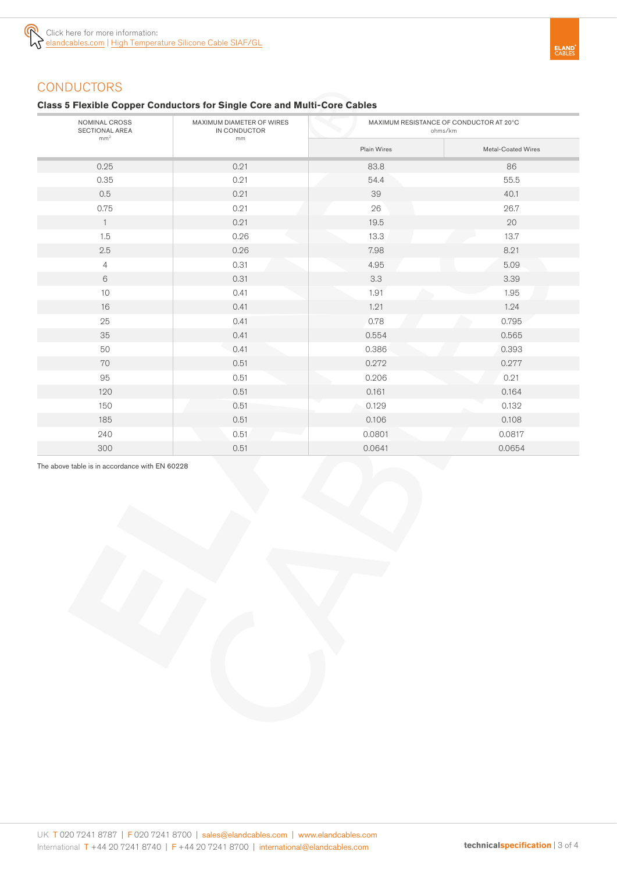

## **Class 5 Flexible Copper Conductors for Single Core and Multi-Core Cables**

| NOMINAL CROSS<br>SECTIONAL AREA<br>mm <sup>2</sup> | MAXIMUM DIAMETER OF WIRES<br>IN CONDUCTOR<br>mm | MAXIMUM RESISTANCE OF CONDUCTOR AT 20°C<br>ohms/km |                    |  |  |
|----------------------------------------------------|-------------------------------------------------|----------------------------------------------------|--------------------|--|--|
|                                                    |                                                 | Plain Wires                                        | Metal-Coated Wires |  |  |
| 0.25                                               | 0.21                                            | 83.8                                               | 86                 |  |  |
| 0.35                                               | 0.21                                            | 54.4                                               | 55.5               |  |  |
| 0.5                                                | 0.21                                            | 39                                                 | 40.1               |  |  |
| 0.75                                               | 0.21                                            | 26                                                 | 26.7               |  |  |
| $\overline{1}$                                     | 0.21                                            | 19.5                                               | 20                 |  |  |
| 1.5                                                | 0.26                                            | 13.3                                               | 13.7               |  |  |
| 2.5                                                | 0.26                                            | 7.98                                               | 8.21               |  |  |
| $\overline{4}$                                     | 0.31                                            | 4.95                                               | 5.09               |  |  |
| 6                                                  | 0.31                                            | 3.3                                                | 3.39               |  |  |
| $10$                                               | 0.41                                            | 1.91                                               | 1.95               |  |  |
| 16                                                 | 0.41                                            | 1.21                                               | 1.24               |  |  |
| 25                                                 | 0.41                                            | 0.78                                               | 0.795              |  |  |
| 35                                                 | 0.41                                            | 0.554                                              | 0.565              |  |  |
| 50                                                 | 0.41                                            | 0.386                                              | 0.393              |  |  |
| 70                                                 | 0.51                                            | 0.272                                              | 0.277              |  |  |
| 95                                                 | 0.51                                            | 0.206                                              | 0.21               |  |  |
| 120                                                | 0.51                                            | 0.161                                              | 0.164              |  |  |
| 150                                                | 0.51                                            | 0.129                                              | 0.132              |  |  |
| 185                                                | 0.51                                            | 0.106                                              | 0.108              |  |  |
| 240                                                | 0.51                                            | 0.0801                                             | 0.0817             |  |  |
| 300                                                | 0.51                                            | 0.0641                                             | 0.0654             |  |  |

The above table is in accordance with EN 60228